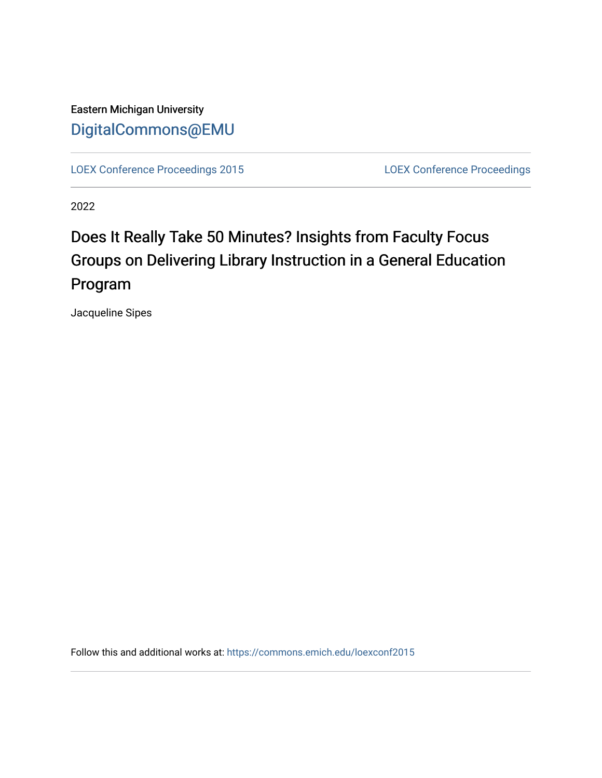Eastern Michigan University [DigitalCommons@EMU](https://commons.emich.edu/) 

[LOEX Conference Proceedings 2015](https://commons.emich.edu/loexconf2015) [LOEX Conference Proceedings](https://commons.emich.edu/loexconf) 

2022

# Does It Really Take 50 Minutes? Insights from Faculty Focus Groups on Delivering Library Instruction in a General Education Program

Jacqueline Sipes

Follow this and additional works at: [https://commons.emich.edu/loexconf2015](https://commons.emich.edu/loexconf2015?utm_source=commons.emich.edu%2Floexconf2015%2F13&utm_medium=PDF&utm_campaign=PDFCoverPages)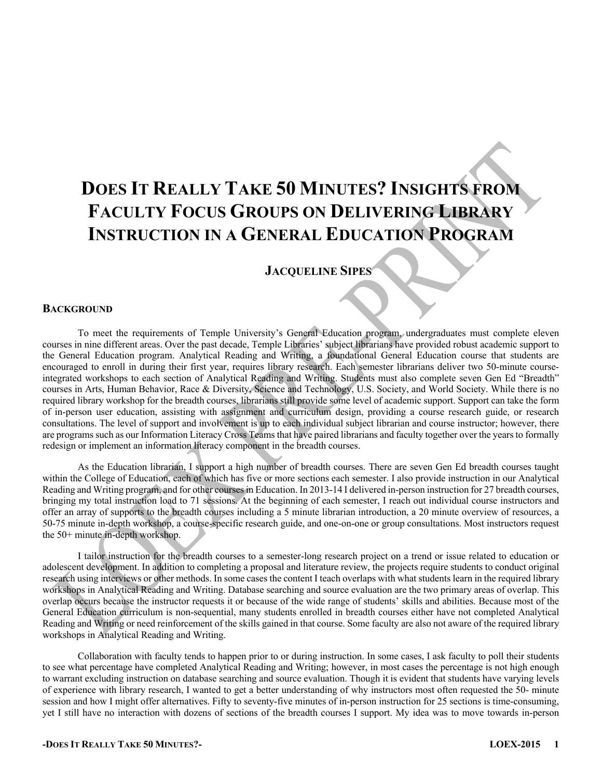# **DOES IT REALLY TAKE 50 MINUTES? INSIGHTS FROM FACULTY FOCUS GROUPS ON DELIVERING LIBRARY INSTRUCTION IN A GENERAL EDUCATION PROGRAM**

# **JACQUELINE SIPES**

### **BACKGROUND**

To meet the requirements of Temple University's General Education program, undergraduates must complete eleven courses in nine different areas. Over the past decade, Temple Libraries' subject librarians have provided robust academic support to the General Education program. Analytical Reading and Writing, a foundational General Education course that students are encouraged to enroll in during their first year, requires library research. Each semester librarians deliver two 50-minute courseintegrated workshops to each section of Analytical Reading and Writing. Students must also complete seven Gen Ed "Breadth" courses in Arts, Human Behavior, Race & Diversity, Science and Technology, U.S. Society, and World Society. While there is no required library workshop for the breadth courses, librarians still provide some level of academic support. Support can take the form of in-person user education, assisting with assignment and curriculum design, providing a course research guide, or research consultations. The level of support and involvement is up to each individual subject librarian and course instructor; however, there are programs such as our Information Literacy Cross Teams that have paired librarians and faculty together over the years to formally redesign or implement an information literacy component in the breadth courses.

As the Education librarian, I support a high number of breadth courses. There are seven Gen Ed breadth courses taught within the College of Education, each of which has five or more sections each semester. I also provide instruction in our Analytical Reading and Writing program, and for other courses in Education. In 2013-14 I delivered in-person instruction for 27 breadth courses, bringing my total instruction load to 71 sessions. At the beginning of each semester, I reach out individual course instructors and offer an array of supports to the breadth courses including a 5 minute librarian introduction, a 20 minute overview of resources, a 50-75 minute in-depth workshop, a course-specific research guide, and one-on-one or group consultations. Most instructors request the 50+ minute in-depth workshop.

I tailor instruction for the breadth courses to a semester-long research project on a trend or issue related to education or adolescent development. In addition to completing a proposal and literature review, the projects require students to conduct original research using interviews or other methods. In some cases the content I teach overlaps with what students learn in the required library workshops in Analytical Reading and Writing. Database searching and source evaluation are the two primary areas of overlap. This overlap occurs because the instructor requests it or because of the wide range of students' skills and abilities. Because most of the General Education curriculum is non-sequential, many students enrolled in breadth courses either have not completed Analytical Reading and Writing or need reinforcement of the skills gained in that course. Some faculty are also not aware of the required library workshops in Analytical Reading and Writing.

Collaboration with faculty tends to happen prior to or during instruction. In some cases, I ask faculty to poll their students to see what percentage have completed Analytical Reading and Writing; however, in most cases the percentage is not high enough to warrant excluding instruction on database searching and source evaluation. Though it is evident that students have varying levels of experience with library research, I wanted to get a better understanding of why instructors most often requested the 50- minute session and how I might offer alternatives. Fifty to seventy-five minutes of in-person instruction for 25 sections is time-consuming, yet I still have no interaction with dozens of sections of the breadth courses I support. My idea was to move towards in-person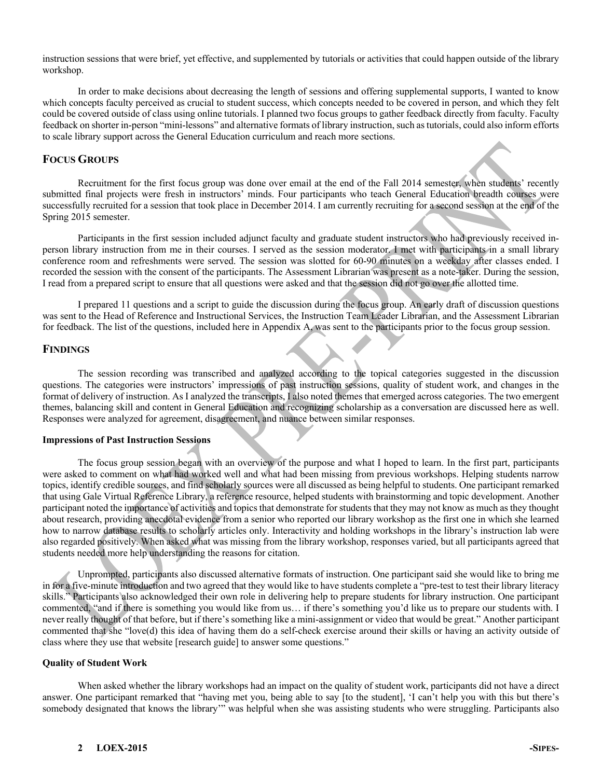instruction sessions that were brief, yet effective, and supplemented by tutorials or activities that could happen outside of the library workshop.

In order to make decisions about decreasing the length of sessions and offering supplemental supports, I wanted to know which concepts faculty perceived as crucial to student success, which concepts needed to be covered in person, and which they felt could be covered outside of class using online tutorials. I planned two focus groups to gather feedback directly from faculty. Faculty feedback on shorter in-person "mini-lessons" and alternative formats of library instruction, such as tutorials, could also inform efforts to scale library support across the General Education curriculum and reach more sections.

# **FOCUS GROUPS**

Recruitment for the first focus group was done over email at the end of the Fall 2014 semester, when students' recently submitted final projects were fresh in instructors' minds. Four participants who teach General Education breadth courses were successfully recruited for a session that took place in December 2014. I am currently recruiting for a second session at the end of the Spring 2015 semester.

Participants in the first session included adjunct faculty and graduate student instructors who had previously received inperson library instruction from me in their courses. I served as the session moderator. I met with participants in a small library conference room and refreshments were served. The session was slotted for 60-90 minutes on a weekday after classes ended. I recorded the session with the consent of the participants. The Assessment Librarian was present as a note-taker. During the session, I read from a prepared script to ensure that all questions were asked and that the session did not go over the allotted time.

I prepared 11 questions and a script to guide the discussion during the focus group. An early draft of discussion questions was sent to the Head of Reference and Instructional Services, the Instruction Team Leader Librarian, and the Assessment Librarian for feedback. The list of the questions, included here in Appendix A, was sent to the participants prior to the focus group session.

### **FINDINGS**

The session recording was transcribed and analyzed according to the topical categories suggested in the discussion questions. The categories were instructors' impressions of past instruction sessions, quality of student work, and changes in the format of delivery of instruction. As I analyzed the transcripts, I also noted themes that emerged across categories. The two emergent themes, balancing skill and content in General Education and recognizing scholarship as a conversation are discussed here as well. Responses were analyzed for agreement, disagreement, and nuance between similar responses.

#### **Impressions of Past Instruction Sessions**

The focus group session began with an overview of the purpose and what I hoped to learn. In the first part, participants were asked to comment on what had worked well and what had been missing from previous workshops. Helping students narrow topics, identify credible sources, and find scholarly sources were all discussed as being helpful to students. One participant remarked that using Gale Virtual Reference Library, a reference resource, helped students with brainstorming and topic development. Another participant noted the importance of activities and topics that demonstrate for students that they may not know as much as they thought about research, providing anecdotal evidence from a senior who reported our library workshop as the first one in which she learned how to narrow database results to scholarly articles only. Interactivity and holding workshops in the library's instruction lab were also regarded positively. When asked what was missing from the library workshop, responses varied, but all participants agreed that students needed more help understanding the reasons for citation.

Unprompted, participants also discussed alternative formats of instruction. One participant said she would like to bring me in for a five-minute introduction and two agreed that they would like to have students complete a "pre-test to test their library literacy skills." Participants also acknowledged their own role in delivering help to prepare students for library instruction. One participant commented, "and if there is something you would like from us… if there's something you'd like us to prepare our students with. I never really thought of that before, but if there's something like a mini-assignment or video that would be great." Another participant commented that she "love(d) this idea of having them do a self-check exercise around their skills or having an activity outside of class where they use that website [research guide] to answer some questions."

#### **Quality of Student Work**

When asked whether the library workshops had an impact on the quality of student work, participants did not have a direct answer. One participant remarked that "having met you, being able to say [to the student], 'I can't help you with this but there's somebody designated that knows the library'" was helpful when she was assisting students who were struggling. Participants also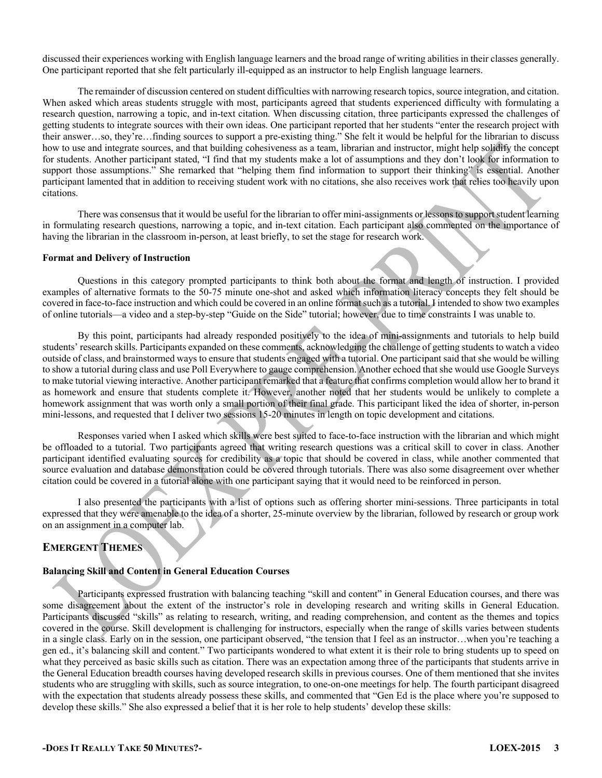discussed their experiences working with English language learners and the broad range of writing abilities in their classes generally. One participant reported that she felt particularly ill-equipped as an instructor to help English language learners.

The remainder of discussion centered on student difficulties with narrowing research topics, source integration, and citation. When asked which areas students struggle with most, participants agreed that students experienced difficulty with formulating a research question, narrowing a topic, and in-text citation. When discussing citation, three participants expressed the challenges of getting students to integrate sources with their own ideas. One participant reported that her students "enter the research project with their answer…so, they're…finding sources to support a pre-existing thing." She felt it would be helpful for the librarian to discuss how to use and integrate sources, and that building cohesiveness as a team, librarian and instructor, might help solidify the concept for students. Another participant stated, "I find that my students make a lot of assumptions and they don't look for information to support those assumptions." She remarked that "helping them find information to support their thinking" is essential. Another participant lamented that in addition to receiving student work with no citations, she also receives work that relies too heavily upon citations.

There was consensus that it would be useful for the librarian to offer mini-assignments or lessons to support student learning in formulating research questions, narrowing a topic, and in-text citation. Each participant also commented on the importance of having the librarian in the classroom in-person, at least briefly, to set the stage for research work.

#### **Format and Delivery of Instruction**

Questions in this category prompted participants to think both about the format and length of instruction. I provided examples of alternative formats to the 50-75 minute one-shot and asked which information literacy concepts they felt should be covered in face-to-face instruction and which could be covered in an online format such as a tutorial. I intended to show two examples of online tutorials—a video and a step-by-step "Guide on the Side" tutorial; however, due to time constraints I was unable to.

By this point, participants had already responded positively to the idea of mini-assignments and tutorials to help build students' research skills. Participants expanded on these comments, acknowledging the challenge of getting students to watch a video outside of class, and brainstormed ways to ensure that students engaged with a tutorial. One participant said that she would be willing to show a tutorial during class and use Poll Everywhere to gauge comprehension. Another echoed that she would use Google Surveys to make tutorial viewing interactive. Another participant remarked that a feature that confirms completion would allow her to brand it as homework and ensure that students complete it. However, another noted that her students would be unlikely to complete a homework assignment that was worth only a small portion of their final grade. This participant liked the idea of shorter, in-person mini-lessons, and requested that I deliver two sessions 15-20 minutes in length on topic development and citations.

Responses varied when I asked which skills were best suited to face-to-face instruction with the librarian and which might be offloaded to a tutorial. Two participants agreed that writing research questions was a critical skill to cover in class. Another participant identified evaluating sources for credibility as a topic that should be covered in class, while another commented that source evaluation and database demonstration could be covered through tutorials. There was also some disagreement over whether citation could be covered in a tutorial alone with one participant saying that it would need to be reinforced in person.

I also presented the participants with a list of options such as offering shorter mini-sessions. Three participants in total expressed that they were amenable to the idea of a shorter, 25-minute overview by the librarian, followed by research or group work on an assignment in a computer lab.

## **EMERGENT THEMES**

#### **Balancing Skill and Content in General Education Courses**

Participants expressed frustration with balancing teaching "skill and content" in General Education courses, and there was some disagreement about the extent of the instructor's role in developing research and writing skills in General Education. Participants discussed "skills" as relating to research, writing, and reading comprehension, and content as the themes and topics covered in the course. Skill development is challenging for instructors, especially when the range of skills varies between students in a single class. Early on in the session, one participant observed, "the tension that I feel as an instructor…when you're teaching a gen ed., it's balancing skill and content." Two participants wondered to what extent it is their role to bring students up to speed on what they perceived as basic skills such as citation. There was an expectation among three of the participants that students arrive in the General Education breadth courses having developed research skills in previous courses. One of them mentioned that she invites students who are struggling with skills, such as source integration, to one-on-one meetings for help. The fourth participant disagreed with the expectation that students already possess these skills, and commented that "Gen Ed is the place where you're supposed to develop these skills." She also expressed a belief that it is her role to help students' develop these skills: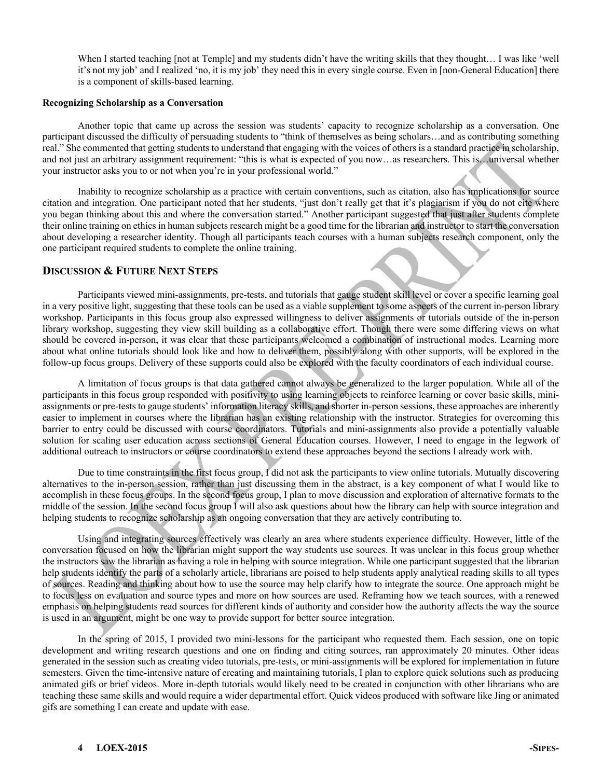When I started teaching [not at Temple] and my students didn't have the writing skills that they thought... I was like 'well it's not my job' and I realized 'no, it is my job' they need this in every single course. Even in [non-General Education] there is a component of skills-based learning.

#### **Recognizing Scholarship as a Conversation**

Another topic that came up across the session was students' capacity to recognize scholarship as a conversation. One participant discussed the difficulty of persuading students to "think of themselves as being scholars…and as contributing something real." She commented that getting students to understand that engaging with the voices of others is a standard practice in scholarship, and not just an arbitrary assignment requirement: "this is what is expected of you now…as researchers. This is…universal whether your instructor asks you to or not when you're in your professional world."

Inability to recognize scholarship as a practice with certain conventions, such as citation, also has implications for source citation and integration. One participant noted that her students, "just don't really get that it's plagiarism if you do not cite where you began thinking about this and where the conversation started." Another participant suggested that just after students complete their online training on ethics in human subjects research might be a good time for the librarian and instructor to start the conversation about developing a researcher identity. Though all participants teach courses with a human subjects research component, only the one participant required students to complete the online training.

## **DISCUSSION & FUTURE NEXT STEPS**

Participants viewed mini-assignments, pre-tests, and tutorials that gauge student skill level or cover a specific learning goal in a very positive light, suggesting that these tools can be used as a viable supplement to some aspects of the current in-person library workshop. Participants in this focus group also expressed willingness to deliver assignments or tutorials outside of the in-person library workshop, suggesting they view skill building as a collaborative effort. Though there were some differing views on what should be covered in-person, it was clear that these participants welcomed a combination of instructional modes. Learning more about what online tutorials should look like and how to deliver them, possibly along with other supports, will be explored in the follow-up focus groups. Delivery of these supports could also be explored with the faculty coordinators of each individual course.

A limitation of focus groups is that data gathered cannot always be generalized to the larger population. While all of the participants in this focus group responded with positivity to using learning objects to reinforce learning or cover basic skills, miniassignments or pre-tests to gauge students' information literacy skills, and shorter in-person sessions, these approaches are inherently easier to implement in courses where the librarian has an existing relationship with the instructor. Strategies for overcoming this barrier to entry could be discussed with course coordinators. Tutorials and mini-assignments also provide a potentially valuable solution for scaling user education across sections of General Education courses. However, I need to engage in the legwork of additional outreach to instructors or course coordinators to extend these approaches beyond the sections I already work with.

Due to time constraints in the first focus group, I did not ask the participants to view online tutorials. Mutually discovering alternatives to the in-person session, rather than just discussing them in the abstract, is a key component of what I would like to accomplish in these focus groups. In the second focus group, I plan to move discussion and exploration of alternative formats to the middle of the session. In the second focus group I will also ask questions about how the library can help with source integration and helping students to recognize scholarship as an ongoing conversation that they are actively contributing to.

Using and integrating sources effectively was clearly an area where students experience difficulty. However, little of the conversation focused on how the librarian might support the way students use sources. It was unclear in this focus group whether the instructors saw the librarian as having a role in helping with source integration. While one participant suggested that the librarian help students identify the parts of a scholarly article, librarians are poised to help students apply analytical reading skills to all types of sources. Reading and thinking about how to use the source may help clarify how to integrate the source. One approach might be to focus less on evaluation and source types and more on how sources are used. Reframing how we teach sources, with a renewed emphasis on helping students read sources for different kinds of authority and consider how the authority affects the way the source is used in an argument, might be one way to provide support for better source integration.

In the spring of 2015, I provided two mini-lessons for the participant who requested them. Each session, one on topic development and writing research questions and one on finding and citing sources, ran approximately 20 minutes. Other ideas generated in the session such as creating video tutorials, pre-tests, or mini-assignments will be explored for implementation in future semesters. Given the time-intensive nature of creating and maintaining tutorials, I plan to explore quick solutions such as producing animated gifs or brief videos. More in-depth tutorials would likely need to be created in conjunction with other librarians who are teaching these same skills and would require a wider departmental effort. Quick videos produced with software like Jing or animated gifs are something I can create and update with ease.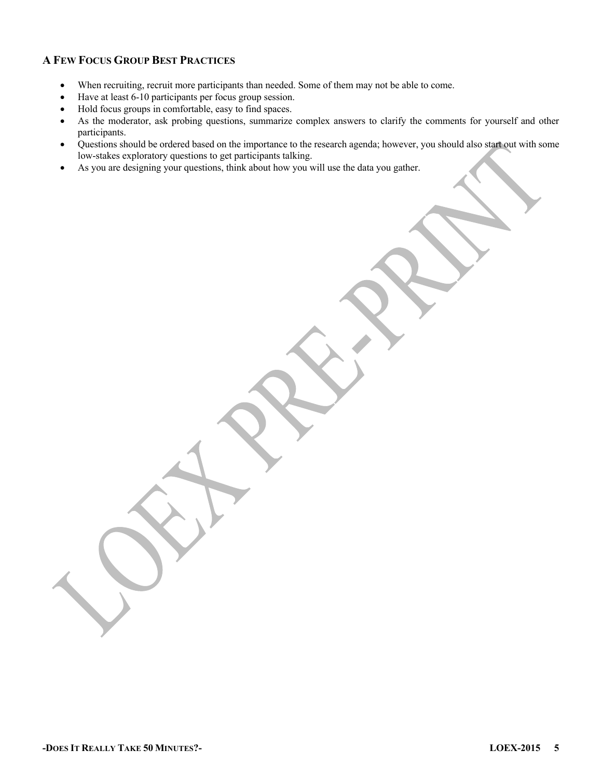# **A FEW FOCUS GROUP BEST PRACTICES**

- When recruiting, recruit more participants than needed. Some of them may not be able to come.
- Have at least 6-10 participants per focus group session.
- Hold focus groups in comfortable, easy to find spaces.
- As the moderator, ask probing questions, summarize complex answers to clarify the comments for yourself and other participants.
- Questions should be ordered based on the importance to the research agenda; however, you should also start out with some low-stakes exploratory questions to get participants talking.
- As you are designing your questions, think about how you will use the data you gather.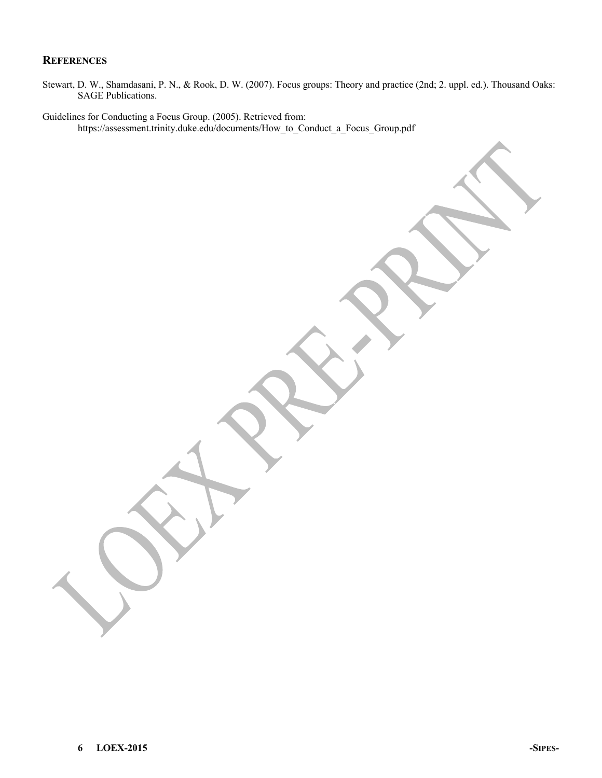## **REFERENCES**

Stewart, D. W., Shamdasani, P. N., & Rook, D. W. (2007). Focus groups: Theory and practice (2nd; 2. uppl. ed.). Thousand Oaks: SAGE Publications.

Guidelines for Conducting a Focus Group. (2005). Retrieved from: https://assessment.trinity.duke.edu/documents/How\_to\_Conduct\_a\_Focus\_Group.pdf